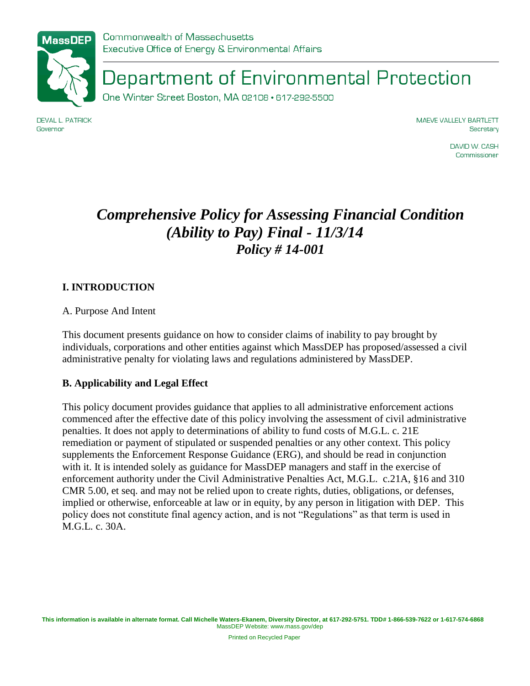

Department of Environmental Protection

One Winter Street Boston, MA 02108 · 617-292-5500

**DEVAL L. PATRICK** Governor

MAEVE VALLELY BARTLETT Secretary

> DAVID W. CASH Commissioner

# *Comprehensive Policy for Assessing Financial Condition (Ability to Pay) Final - 11/3/14 Policy # 14-001*

# **I. INTRODUCTION**

A. Purpose And Intent

This document presents guidance on how to consider claims of inability to pay brought by individuals, corporations and other entities against which MassDEP has proposed/assessed a civil administrative penalty for violating laws and regulations administered by MassDEP.

## **B. Applicability and Legal Effect**

This policy document provides guidance that applies to all administrative enforcement actions commenced after the effective date of this policy involving the assessment of civil administrative penalties. It does not apply to determinations of ability to fund costs of M.G.L. c. 21E remediation or payment of stipulated or suspended penalties or any other context. This policy supplements the Enforcement Response Guidance (ERG), and should be read in conjunction with it. It is intended solely as guidance for MassDEP managers and staff in the exercise of enforcement authority under the Civil Administrative Penalties Act, M.G.L. c.21A, §16 and 310 CMR 5.00, et seq. and may not be relied upon to create rights, duties, obligations, or defenses, implied or otherwise, enforceable at law or in equity, by any person in litigation with DEP. This policy does not constitute final agency action, and is not "Regulations" as that term is used in M.G.L. c. 30A.

Printed on Recycled Paper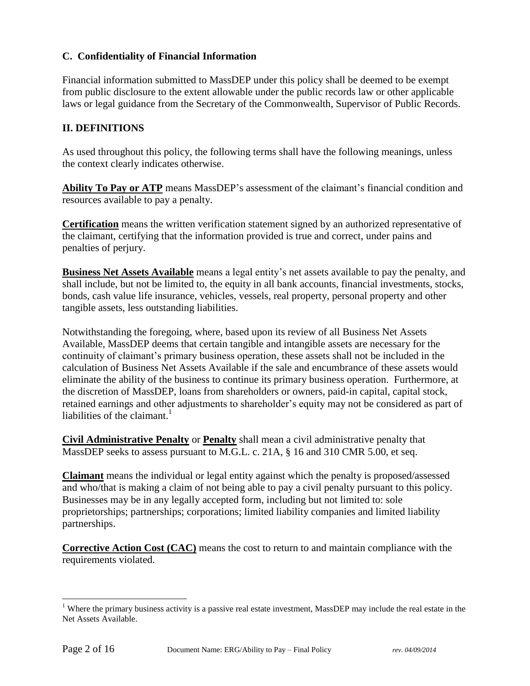# **C. Confidentiality of Financial Information**

Financial information submitted to MassDEP under this policy shall be deemed to be exempt from public disclosure to the extent allowable under the public records law or other applicable laws or legal guidance from the Secretary of the Commonwealth, Supervisor of Public Records.

# **II. DEFINITIONS**

As used throughout this policy, the following terms shall have the following meanings, unless the context clearly indicates otherwise.

**Ability To Pay or ATP** means MassDEP's assessment of the claimant's financial condition and resources available to pay a penalty.

**Certification** means the written verification statement signed by an authorized representative of the claimant, certifying that the information provided is true and correct, under pains and penalties of perjury.

**Business Net Assets Available** means a legal entity's net assets available to pay the penalty, and shall include, but not be limited to, the equity in all bank accounts, financial investments, stocks, bonds, cash value life insurance, vehicles, vessels, real property, personal property and other tangible assets, less outstanding liabilities.

Notwithstanding the foregoing, where, based upon its review of all Business Net Assets Available, MassDEP deems that certain tangible and intangible assets are necessary for the continuity of claimant's primary business operation, these assets shall not be included in the calculation of Business Net Assets Available if the sale and encumbrance of these assets would eliminate the ability of the business to continue its primary business operation. Furthermore, at the discretion of MassDEP, loans from shareholders or owners, paid-in capital, capital stock, retained earnings and other adjustments to shareholder's equity may not be considered as part of liabilities of the claimant.<sup>1</sup>

**Civil Administrative Penalty** or **Penalty** shall mean a civil administrative penalty that MassDEP seeks to assess pursuant to M.G.L. c. 21A, § 16 and 310 CMR 5.00, et seq.

**Claimant** means the individual or legal entity against which the penalty is proposed/assessed and who/that is making a claim of not being able to pay a civil penalty pursuant to this policy. Businesses may be in any legally accepted form, including but not limited to: sole proprietorships; partnerships; corporations; limited liability companies and limited liability partnerships.

**Corrective Action Cost (CAC)** means the cost to return to and maintain compliance with the requirements violated.

 $\overline{a}$ 

<sup>&</sup>lt;sup>1</sup> Where the primary business activity is a passive real estate investment, MassDEP may include the real estate in the Net Assets Available.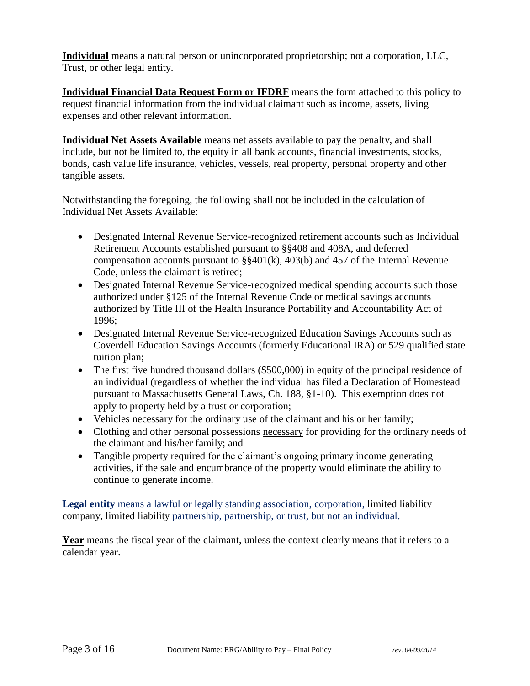**Individual** means a natural person or unincorporated proprietorship; not a corporation, LLC, Trust, or other legal entity.

**Individual Financial Data Request Form or IFDRF** means the form attached to this policy to request financial information from the individual claimant such as income, assets, living expenses and other relevant information.

**Individual Net Assets Available** means net assets available to pay the penalty, and shall include, but not be limited to, the equity in all bank accounts, financial investments, stocks, bonds, cash value life insurance, vehicles, vessels, real property, personal property and other tangible assets.

Notwithstanding the foregoing, the following shall not be included in the calculation of Individual Net Assets Available:

- Designated Internal Revenue Service-recognized retirement accounts such as Individual Retirement Accounts established pursuant to §§408 and 408A, and deferred compensation accounts pursuant to §§401(k), 403(b) and 457 of the Internal Revenue Code, unless the claimant is retired;
- Designated Internal Revenue Service-recognized medical spending accounts such those authorized under §125 of the Internal Revenue Code or medical savings accounts authorized by Title III of the Health Insurance Portability and Accountability Act of 1996;
- Designated Internal Revenue Service-recognized Education Savings Accounts such as Coverdell Education Savings Accounts (formerly Educational IRA) or 529 qualified state tuition plan;
- The first five hundred thousand dollars (\$500,000) in equity of the principal residence of an individual (regardless of whether the individual has filed a Declaration of Homestead pursuant to Massachusetts General Laws, Ch. 188, §1-10). This exemption does not apply to property held by a trust or corporation;
- Vehicles necessary for the ordinary use of the claimant and his or her family;
- Clothing and other personal possessions necessary for providing for the ordinary needs of the claimant and his/her family; and
- Tangible property required for the claimant's ongoing primary income generating activities, if the sale and encumbrance of the property would eliminate the ability to continue to generate income.

**Legal entity** means a lawful or legally standing [association,](http://thelawdictionary.org/association/) [corporation,](http://thelawdictionary.org/corporation/) limited liability company, limited liability [partnership,](http://thelawdictionary.org/partnership/) partnership, or trust, but not an individual.

**Year** means the fiscal year of the claimant, unless the context clearly means that it refers to a calendar year.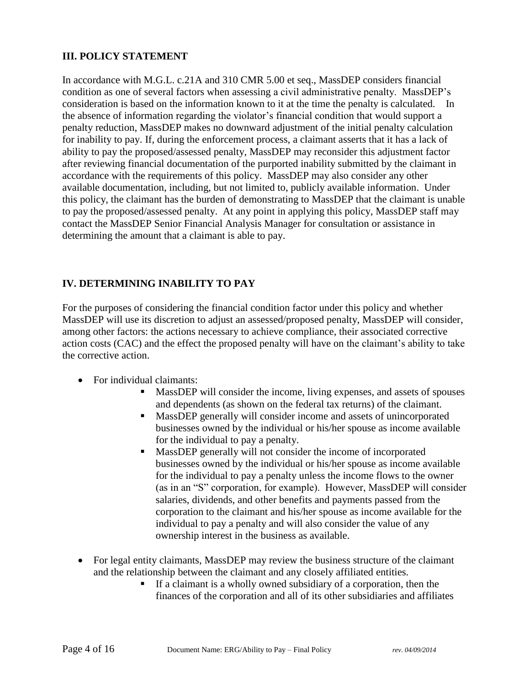## **III. POLICY STATEMENT**

In accordance with M.G.L. c.21A and 310 CMR 5.00 et seq., MassDEP considers financial condition as one of several factors when assessing a civil administrative penalty. MassDEP's consideration is based on the information known to it at the time the penalty is calculated. In the absence of information regarding the violator's financial condition that would support a penalty reduction, MassDEP makes no downward adjustment of the initial penalty calculation for inability to pay. If, during the enforcement process, a claimant asserts that it has a lack of ability to pay the proposed/assessed penalty, MassDEP may reconsider this adjustment factor after reviewing financial documentation of the purported inability submitted by the claimant in accordance with the requirements of this policy. MassDEP may also consider any other available documentation, including, but not limited to, publicly available information. Under this policy, the claimant has the burden of demonstrating to MassDEP that the claimant is unable to pay the proposed/assessed penalty. At any point in applying this policy, MassDEP staff may contact the MassDEP Senior Financial Analysis Manager for consultation or assistance in determining the amount that a claimant is able to pay.

# **IV. DETERMINING INABILITY TO PAY**

For the purposes of considering the financial condition factor under this policy and whether MassDEP will use its discretion to adjust an assessed/proposed penalty, MassDEP will consider, among other factors: the actions necessary to achieve compliance, their associated corrective action costs (CAC) and the effect the proposed penalty will have on the claimant's ability to take the corrective action.

- For individual claimants:
	- MassDEP will consider the income, living expenses, and assets of spouses and dependents (as shown on the federal tax returns) of the claimant.
	- MassDEP generally will consider income and assets of unincorporated businesses owned by the individual or his/her spouse as income available for the individual to pay a penalty.
	- MassDEP generally will not consider the income of incorporated businesses owned by the individual or his/her spouse as income available for the individual to pay a penalty unless the income flows to the owner (as in an "S" corporation, for example). However, MassDEP will consider salaries, dividends, and other benefits and payments passed from the corporation to the claimant and his/her spouse as income available for the individual to pay a penalty and will also consider the value of any ownership interest in the business as available.
- For legal entity claimants, MassDEP may review the business structure of the claimant and the relationship between the claimant and any closely affiliated entities.
	- If a claimant is a wholly owned subsidiary of a corporation, then the finances of the corporation and all of its other subsidiaries and affiliates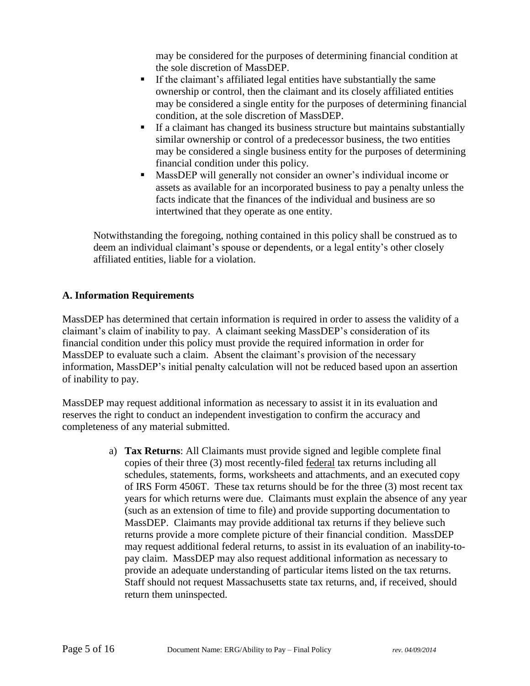may be considered for the purposes of determining financial condition at the sole discretion of MassDEP.

- If the claimant's affiliated legal entities have substantially the same ownership or control, then the claimant and its closely affiliated entities may be considered a single entity for the purposes of determining financial condition, at the sole discretion of MassDEP.
- If a claimant has changed its business structure but maintains substantially similar ownership or control of a predecessor business, the two entities may be considered a single business entity for the purposes of determining financial condition under this policy.
- MassDEP will generally not consider an owner's individual income or assets as available for an incorporated business to pay a penalty unless the facts indicate that the finances of the individual and business are so intertwined that they operate as one entity.

Notwithstanding the foregoing, nothing contained in this policy shall be construed as to deem an individual claimant's spouse or dependents, or a legal entity's other closely affiliated entities, liable for a violation.

# **A. Information Requirements**

MassDEP has determined that certain information is required in order to assess the validity of a claimant's claim of inability to pay. A claimant seeking MassDEP's consideration of its financial condition under this policy must provide the required information in order for MassDEP to evaluate such a claim. Absent the claimant's provision of the necessary information, MassDEP's initial penalty calculation will not be reduced based upon an assertion of inability to pay.

MassDEP may request additional information as necessary to assist it in its evaluation and reserves the right to conduct an independent investigation to confirm the accuracy and completeness of any material submitted.

> a) **Tax Returns**: All Claimants must provide signed and legible complete final copies of their three (3) most recently-filed federal tax returns including all schedules, statements, forms, worksheets and attachments, and an executed copy of IRS Form 4506T. These tax returns should be for the three (3) most recent tax years for which returns were due. Claimants must explain the absence of any year (such as an extension of time to file) and provide supporting documentation to MassDEP. Claimants may provide additional tax returns if they believe such returns provide a more complete picture of their financial condition. MassDEP may request additional federal returns, to assist in its evaluation of an inability-topay claim. MassDEP may also request additional information as necessary to provide an adequate understanding of particular items listed on the tax returns. Staff should not request Massachusetts state tax returns, and, if received, should return them uninspected.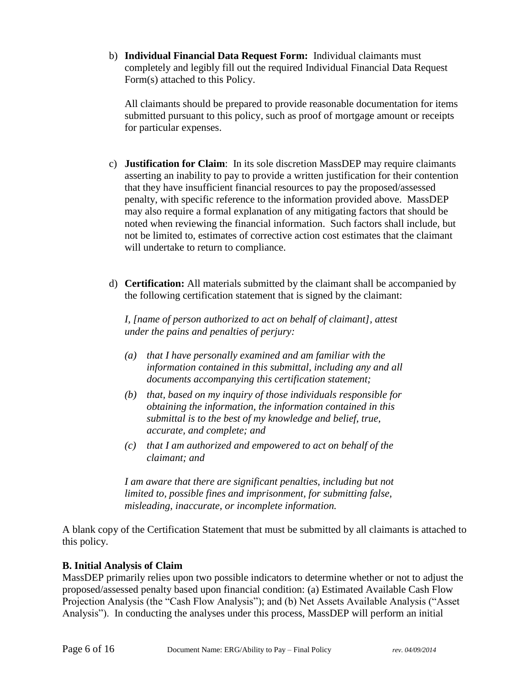b) **Individual Financial Data Request Form:** Individual claimants must completely and legibly fill out the required Individual Financial Data Request Form(s) attached to this Policy.

All claimants should be prepared to provide reasonable documentation for items submitted pursuant to this policy, such as proof of mortgage amount or receipts for particular expenses.

- c) **Justification for Claim**: In its sole discretion MassDEP may require claimants asserting an inability to pay to provide a written justification for their contention that they have insufficient financial resources to pay the proposed/assessed penalty, with specific reference to the information provided above. MassDEP may also require a formal explanation of any mitigating factors that should be noted when reviewing the financial information. Such factors shall include, but not be limited to, estimates of corrective action cost estimates that the claimant will undertake to return to compliance.
- d) **Certification:** All materials submitted by the claimant shall be accompanied by the following certification statement that is signed by the claimant:

*I, [name of person authorized to act on behalf of claimant], attest under the pains and penalties of perjury:*

- *(a) that I have personally examined and am familiar with the information contained in this submittal, including any and all documents accompanying this certification statement;*
- *(b) that, based on my inquiry of those individuals responsible for obtaining the information, the information contained in this submittal is to the best of my knowledge and belief, true, accurate, and complete; and*
- *(c) that I am authorized and empowered to act on behalf of the claimant; and*

*I* am aware that there are significant penalties, including but not *limited to, possible fines and imprisonment, for submitting false, misleading, inaccurate, or incomplete information.*

A blank copy of the Certification Statement that must be submitted by all claimants is attached to this policy.

## **B. Initial Analysis of Claim**

MassDEP primarily relies upon two possible indicators to determine whether or not to adjust the proposed/assessed penalty based upon financial condition: (a) Estimated Available Cash Flow Projection Analysis (the "Cash Flow Analysis"); and (b) Net Assets Available Analysis ("Asset Analysis"). In conducting the analyses under this process, MassDEP will perform an initial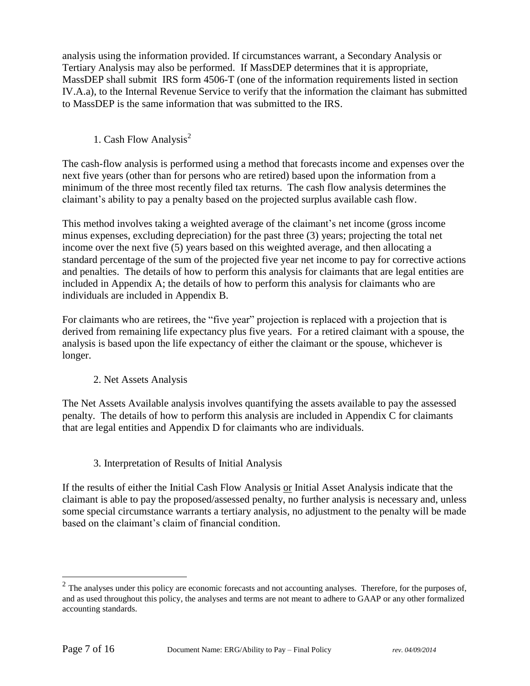analysis using the information provided. If circumstances warrant, a Secondary Analysis or Tertiary Analysis may also be performed. If MassDEP determines that it is appropriate, MassDEP shall submit IRS form 4506-T (one of the information requirements listed in section IV.A.a), to the Internal Revenue Service to verify that the information the claimant has submitted to MassDEP is the same information that was submitted to the IRS.

1. Cash Flow Analysis<sup>2</sup>

The cash-flow analysis is performed using a method that forecasts income and expenses over the next five years (other than for persons who are retired) based upon the information from a minimum of the three most recently filed tax returns. The cash flow analysis determines the claimant's ability to pay a penalty based on the projected surplus available cash flow.

This method involves taking a weighted average of the claimant's net income (gross income minus expenses, excluding depreciation) for the past three (3) years; projecting the total net income over the next five (5) years based on this weighted average, and then allocating a standard percentage of the sum of the projected five year net income to pay for corrective actions and penalties. The details of how to perform this analysis for claimants that are legal entities are included in Appendix A; the details of how to perform this analysis for claimants who are individuals are included in Appendix B.

For claimants who are retirees, the "five year" projection is replaced with a projection that is derived from remaining life expectancy plus five years. For a retired claimant with a spouse, the analysis is based upon the life expectancy of either the claimant or the spouse, whichever is longer.

## 2. Net Assets Analysis

The Net Assets Available analysis involves quantifying the assets available to pay the assessed penalty. The details of how to perform this analysis are included in Appendix C for claimants that are legal entities and Appendix D for claimants who are individuals.

# 3. Interpretation of Results of Initial Analysis

If the results of either the Initial Cash Flow Analysis or Initial Asset Analysis indicate that the claimant is able to pay the proposed/assessed penalty, no further analysis is necessary and, unless some special circumstance warrants a tertiary analysis, no adjustment to the penalty will be made based on the claimant's claim of financial condition.

<sup>&</sup>lt;sup>2</sup> The analyses under this policy are economic forecasts and not accounting analyses. Therefore, for the purposes of, and as used throughout this policy, the analyses and terms are not meant to adhere to GAAP or any other formalized accounting standards.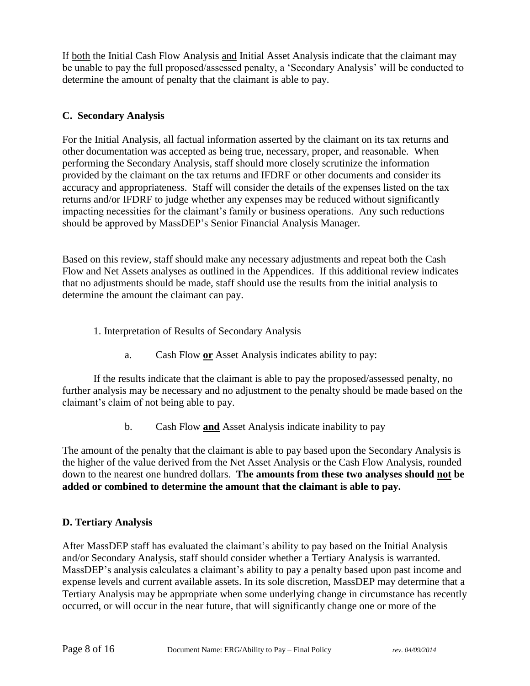If both the Initial Cash Flow Analysis and Initial Asset Analysis indicate that the claimant may be unable to pay the full proposed/assessed penalty, a 'Secondary Analysis' will be conducted to determine the amount of penalty that the claimant is able to pay.

# **C. Secondary Analysis**

For the Initial Analysis, all factual information asserted by the claimant on its tax returns and other documentation was accepted as being true, necessary, proper, and reasonable. When performing the Secondary Analysis, staff should more closely scrutinize the information provided by the claimant on the tax returns and IFDRF or other documents and consider its accuracy and appropriateness. Staff will consider the details of the expenses listed on the tax returns and/or IFDRF to judge whether any expenses may be reduced without significantly impacting necessities for the claimant's family or business operations. Any such reductions should be approved by MassDEP's Senior Financial Analysis Manager.

Based on this review, staff should make any necessary adjustments and repeat both the Cash Flow and Net Assets analyses as outlined in the Appendices. If this additional review indicates that no adjustments should be made, staff should use the results from the initial analysis to determine the amount the claimant can pay.

- 1. Interpretation of Results of Secondary Analysis
	- a. Cash Flow **or** Asset Analysis indicates ability to pay:

If the results indicate that the claimant is able to pay the proposed/assessed penalty, no further analysis may be necessary and no adjustment to the penalty should be made based on the claimant's claim of not being able to pay.

b. Cash Flow **and** Asset Analysis indicate inability to pay

The amount of the penalty that the claimant is able to pay based upon the Secondary Analysis is the higher of the value derived from the Net Asset Analysis or the Cash Flow Analysis, rounded down to the nearest one hundred dollars. **The amounts from these two analyses should not be added or combined to determine the amount that the claimant is able to pay.**

## **D. Tertiary Analysis**

After MassDEP staff has evaluated the claimant's ability to pay based on the Initial Analysis and/or Secondary Analysis, staff should consider whether a Tertiary Analysis is warranted. MassDEP's analysis calculates a claimant's ability to pay a penalty based upon past income and expense levels and current available assets. In its sole discretion, MassDEP may determine that a Tertiary Analysis may be appropriate when some underlying change in circumstance has recently occurred, or will occur in the near future, that will significantly change one or more of the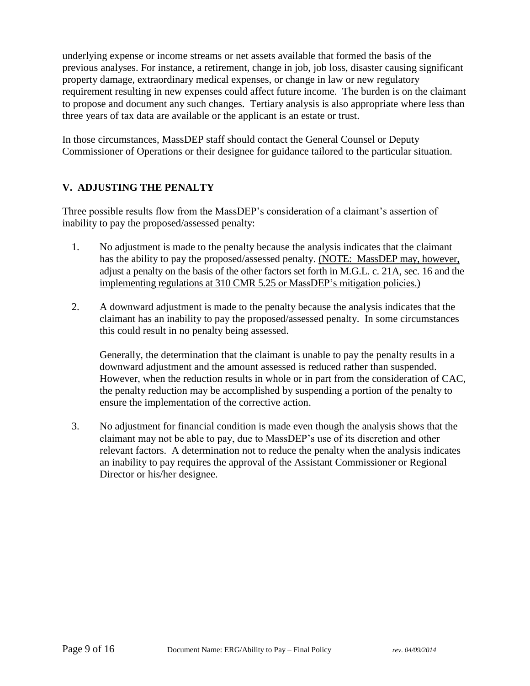underlying expense or income streams or net assets available that formed the basis of the previous analyses. For instance, a retirement, change in job, job loss, disaster causing significant property damage, extraordinary medical expenses, or change in law or new regulatory requirement resulting in new expenses could affect future income. The burden is on the claimant to propose and document any such changes. Tertiary analysis is also appropriate where less than three years of tax data are available or the applicant is an estate or trust.

In those circumstances, MassDEP staff should contact the General Counsel or Deputy Commissioner of Operations or their designee for guidance tailored to the particular situation.

# **V. ADJUSTING THE PENALTY**

Three possible results flow from the MassDEP's consideration of a claimant's assertion of inability to pay the proposed/assessed penalty:

- 1. No adjustment is made to the penalty because the analysis indicates that the claimant has the ability to pay the proposed/assessed penalty. (NOTE: MassDEP may, however, adjust a penalty on the basis of the other factors set forth in M.G.L. c. 21A, sec. 16 and the implementing regulations at 310 CMR 5.25 or MassDEP's mitigation policies.)
- 2. A downward adjustment is made to the penalty because the analysis indicates that the claimant has an inability to pay the proposed/assessed penalty. In some circumstances this could result in no penalty being assessed.

Generally, the determination that the claimant is unable to pay the penalty results in a downward adjustment and the amount assessed is reduced rather than suspended. However, when the reduction results in whole or in part from the consideration of CAC, the penalty reduction may be accomplished by suspending a portion of the penalty to ensure the implementation of the corrective action.

3. No adjustment for financial condition is made even though the analysis shows that the claimant may not be able to pay, due to MassDEP's use of its discretion and other relevant factors. A determination not to reduce the penalty when the analysis indicates an inability to pay requires the approval of the Assistant Commissioner or Regional Director or his/her designee.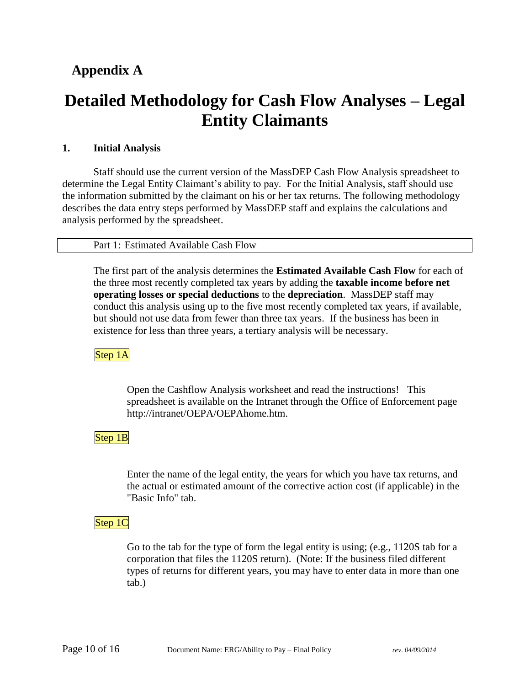# **Appendix A**

# **Detailed Methodology for Cash Flow Analyses – Legal Entity Claimants**

# **1. Initial Analysis**

Staff should use the current version of the MassDEP Cash Flow Analysis spreadsheet to determine the Legal Entity Claimant's ability to pay. For the Initial Analysis, staff should use the information submitted by the claimant on his or her tax returns. The following methodology describes the data entry steps performed by MassDEP staff and explains the calculations and analysis performed by the spreadsheet.

## Part 1: Estimated Available Cash Flow

The first part of the analysis determines the **Estimated Available Cash Flow** for each of the three most recently completed tax years by adding the **taxable income before net operating losses or special deductions** to the **depreciation**. MassDEP staff may conduct this analysis using up to the five most recently completed tax years, if available, but should not use data from fewer than three tax years. If the business has been in existence for less than three years, a tertiary analysis will be necessary.

Step 1A

Open the Cashflow Analysis worksheet and read the instructions! This spreadsheet is available on the Intranet through the Office of Enforcement page http://intranet/OEPA/OEPAhome.htm.

Step 1B

Enter the name of the legal entity, the years for which you have tax returns, and the actual or estimated amount of the corrective action cost (if applicable) in the "Basic Info" tab.

Step 1C

Go to the tab for the type of form the legal entity is using; (e.g., 1120S tab for a corporation that files the 1120S return). (Note: If the business filed different types of returns for different years, you may have to enter data in more than one tab.)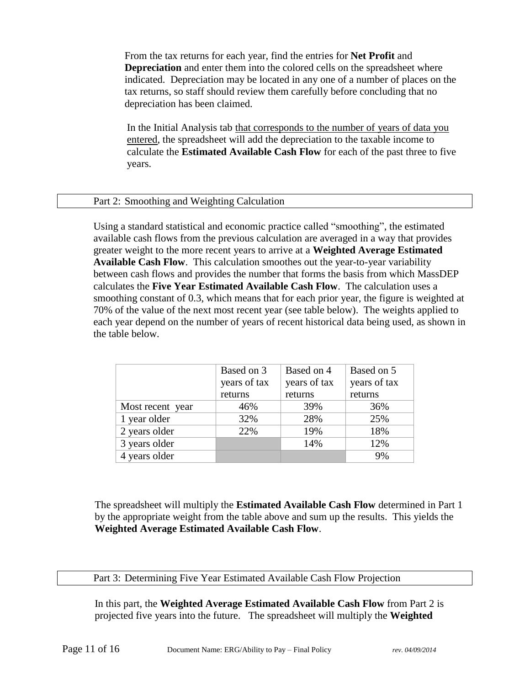From the tax returns for each year, find the entries for **Net Profit** and **Depreciation** and enter them into the colored cells on the spreadsheet where indicated. Depreciation may be located in any one of a number of places on the tax returns, so staff should review them carefully before concluding that no depreciation has been claimed.

In the Initial Analysis tab that corresponds to the number of years of data you entered, the spreadsheet will add the depreciation to the taxable income to calculate the **Estimated Available Cash Flow** for each of the past three to five years.

#### Part 2: Smoothing and Weighting Calculation

Using a standard statistical and economic practice called "smoothing", the estimated available cash flows from the previous calculation are averaged in a way that provides greater weight to the more recent years to arrive at a **Weighted Average Estimated Available Cash Flow**. This calculation smoothes out the year-to-year variability between cash flows and provides the number that forms the basis from which MassDEP calculates the **Five Year Estimated Available Cash Flow**. The calculation uses a smoothing constant of 0.3, which means that for each prior year, the figure is weighted at 70% of the value of the next most recent year (see table below). The weights applied to each year depend on the number of years of recent historical data being used, as shown in the table below.

|                  | Based on 3   | Based on 4   | Based on 5   |
|------------------|--------------|--------------|--------------|
|                  | years of tax | years of tax | years of tax |
|                  | returns      | returns      | returns      |
| Most recent year | 46%          | 39%          | 36%          |
| 1 year older     | 32%          | 28%          | 25%          |
| 2 years older    | 22%          | 19%          | 18%          |
| 3 years older    |              | 14%          | 12%          |
| 4 years older    |              |              | 9%           |

The spreadsheet will multiply the **Estimated Available Cash Flow** determined in Part 1 by the appropriate weight from the table above and sum up the results. This yields the **Weighted Average Estimated Available Cash Flow**.

#### Part 3: Determining Five Year Estimated Available Cash Flow Projection

In this part, the **Weighted Average Estimated Available Cash Flow** from Part 2 is projected five years into the future. The spreadsheet will multiply the **Weighted**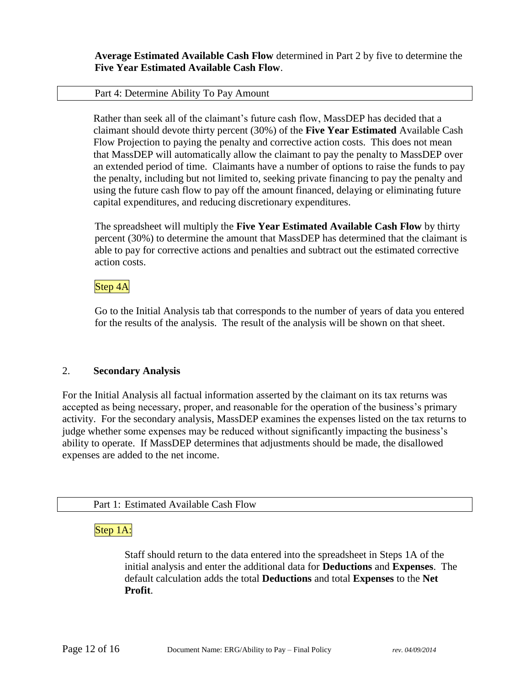**Average Estimated Available Cash Flow** determined in Part 2 by five to determine the **Five Year Estimated Available Cash Flow**.

#### Part 4: Determine Ability To Pay Amount

Rather than seek all of the claimant's future cash flow, MassDEP has decided that a claimant should devote thirty percent (30%) of the **Five Year Estimated** Available Cash Flow Projection to paying the penalty and corrective action costs. This does not mean that MassDEP will automatically allow the claimant to pay the penalty to MassDEP over an extended period of time. Claimants have a number of options to raise the funds to pay the penalty, including but not limited to, seeking private financing to pay the penalty and using the future cash flow to pay off the amount financed, delaying or eliminating future capital expenditures, and reducing discretionary expenditures.

The spreadsheet will multiply the **Five Year Estimated Available Cash Flow** by thirty percent (30%) to determine the amount that MassDEP has determined that the claimant is able to pay for corrective actions and penalties and subtract out the estimated corrective action costs.

#### Step 4A

Go to the Initial Analysis tab that corresponds to the number of years of data you entered for the results of the analysis. The result of the analysis will be shown on that sheet.

#### 2. **Secondary Analysis**

For the Initial Analysis all factual information asserted by the claimant on its tax returns was accepted as being necessary, proper, and reasonable for the operation of the business's primary activity. For the secondary analysis, MassDEP examines the expenses listed on the tax returns to judge whether some expenses may be reduced without significantly impacting the business's ability to operate. If MassDEP determines that adjustments should be made, the disallowed expenses are added to the net income.

#### Part 1: Estimated Available Cash Flow

## Step 1A:

Staff should return to the data entered into the spreadsheet in Steps 1A of the initial analysis and enter the additional data for **Deductions** and **Expenses**. The default calculation adds the total **Deductions** and total **Expenses** to the **Net Profit**.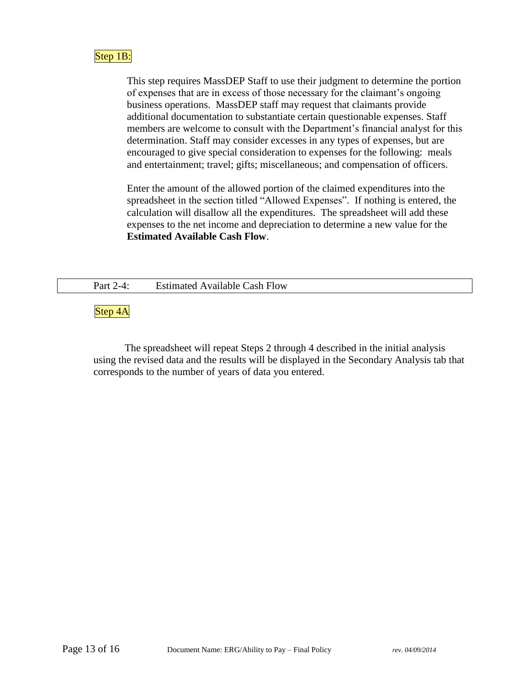# Step 1B:

This step requires MassDEP Staff to use their judgment to determine the portion of expenses that are in excess of those necessary for the claimant's ongoing business operations. MassDEP staff may request that claimants provide additional documentation to substantiate certain questionable expenses. Staff members are welcome to consult with the Department's financial analyst for this determination. Staff may consider excesses in any types of expenses, but are encouraged to give special consideration to expenses for the following: meals and entertainment; travel; gifts; miscellaneous; and compensation of officers.

Enter the amount of the allowed portion of the claimed expenditures into the spreadsheet in the section titled "Allowed Expenses". If nothing is entered, the calculation will disallow all the expenditures. The spreadsheet will add these expenses to the net income and depreciation to determine a new value for the **Estimated Available Cash Flow**.

Part 2-4: Estimated Available Cash Flow

Step 4A

The spreadsheet will repeat Steps 2 through 4 described in the initial analysis using the revised data and the results will be displayed in the Secondary Analysis tab that corresponds to the number of years of data you entered.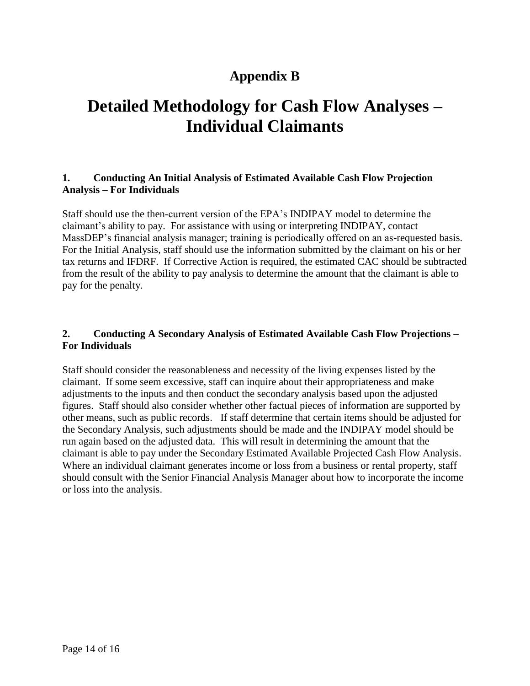# **Appendix B**

# **Detailed Methodology for Cash Flow Analyses – Individual Claimants**

#### **1. Conducting An Initial Analysis of Estimated Available Cash Flow Projection Analysis – For Individuals**

Staff should use the then-current version of the EPA's INDIPAY model to determine the claimant's ability to pay. For assistance with using or interpreting INDIPAY, contact MassDEP's financial analysis manager; training is periodically offered on an as-requested basis. For the Initial Analysis, staff should use the information submitted by the claimant on his or her tax returns and IFDRF. If Corrective Action is required, the estimated CAC should be subtracted from the result of the ability to pay analysis to determine the amount that the claimant is able to pay for the penalty.

# **2. Conducting A Secondary Analysis of Estimated Available Cash Flow Projections – For Individuals**

Staff should consider the reasonableness and necessity of the living expenses listed by the claimant. If some seem excessive, staff can inquire about their appropriateness and make adjustments to the inputs and then conduct the secondary analysis based upon the adjusted figures. Staff should also consider whether other factual pieces of information are supported by other means, such as public records. If staff determine that certain items should be adjusted for the Secondary Analysis, such adjustments should be made and the INDIPAY model should be run again based on the adjusted data. This will result in determining the amount that the claimant is able to pay under the Secondary Estimated Available Projected Cash Flow Analysis. Where an individual claimant generates income or loss from a business or rental property, staff should consult with the Senior Financial Analysis Manager about how to incorporate the income or loss into the analysis.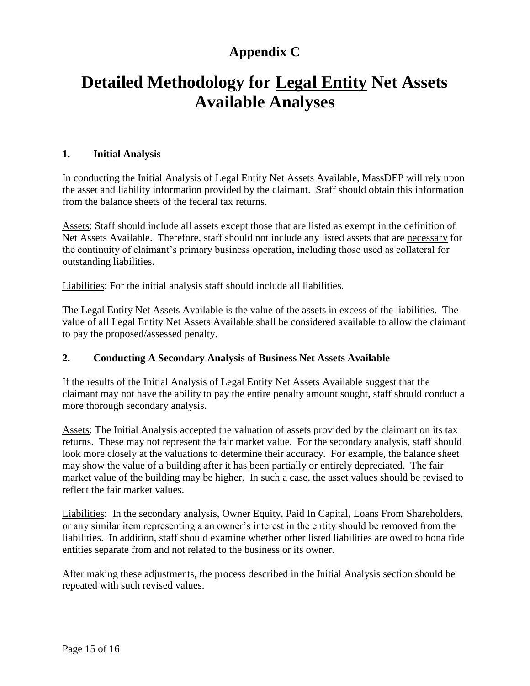# **Appendix C**

# **Detailed Methodology for Legal Entity Net Assets Available Analyses**

#### **1. Initial Analysis**

In conducting the Initial Analysis of Legal Entity Net Assets Available, MassDEP will rely upon the asset and liability information provided by the claimant. Staff should obtain this information from the balance sheets of the federal tax returns.

Assets: Staff should include all assets except those that are listed as exempt in the definition of Net Assets Available. Therefore, staff should not include any listed assets that are necessary for the continuity of claimant's primary business operation, including those used as collateral for outstanding liabilities.

Liabilities: For the initial analysis staff should include all liabilities.

The Legal Entity Net Assets Available is the value of the assets in excess of the liabilities. The value of all Legal Entity Net Assets Available shall be considered available to allow the claimant to pay the proposed/assessed penalty.

## **2. Conducting A Secondary Analysis of Business Net Assets Available**

If the results of the Initial Analysis of Legal Entity Net Assets Available suggest that the claimant may not have the ability to pay the entire penalty amount sought, staff should conduct a more thorough secondary analysis.

Assets: The Initial Analysis accepted the valuation of assets provided by the claimant on its tax returns. These may not represent the fair market value. For the secondary analysis, staff should look more closely at the valuations to determine their accuracy. For example, the balance sheet may show the value of a building after it has been partially or entirely depreciated. The fair market value of the building may be higher. In such a case, the asset values should be revised to reflect the fair market values.

Liabilities: In the secondary analysis, Owner Equity, Paid In Capital, Loans From Shareholders, or any similar item representing a an owner's interest in the entity should be removed from the liabilities. In addition, staff should examine whether other listed liabilities are owed to bona fide entities separate from and not related to the business or its owner.

After making these adjustments, the process described in the Initial Analysis section should be repeated with such revised values.